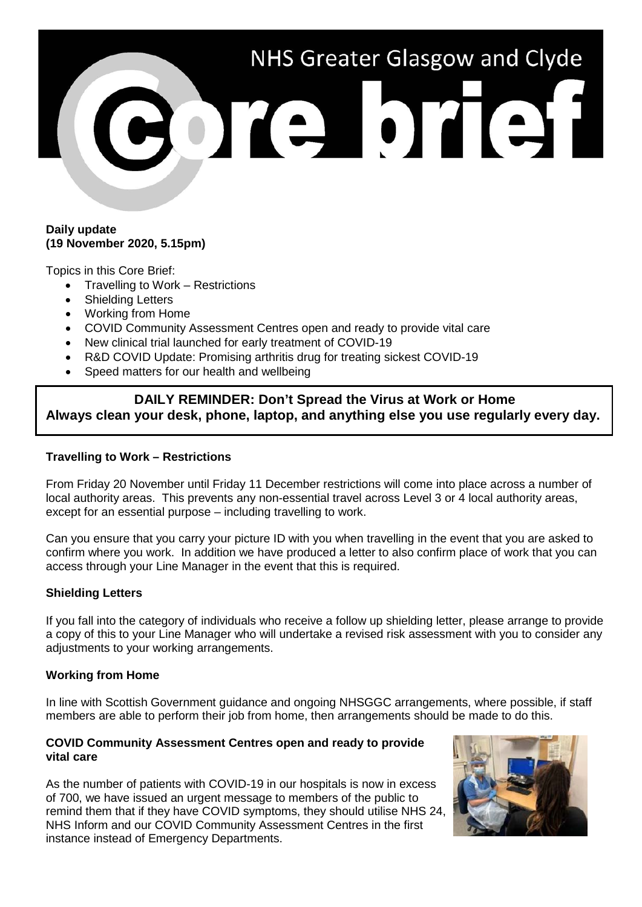# NHS Greater Glasgow and Clyde ore brief!

#### **Daily update (19 November 2020, 5.15pm)**

Topics in this Core Brief:

- Travelling to Work Restrictions
- Shielding Letters
- Working from Home
- COVID Community Assessment Centres open and ready to provide vital care
- New clinical trial launched for early treatment of COVID-19
- R&D COVID Update: Promising arthritis drug for treating sickest COVID-19
- Speed matters for our health and wellbeing

# **DAILY REMINDER: Don't Spread the Virus at Work or Home Always clean your desk, phone, laptop, and anything else you use regularly every day.**

## **Travelling to Work – Restrictions**

From Friday 20 November until Friday 11 December restrictions will come into place across a number of local authority areas. This prevents any non-essential travel across Level 3 or 4 local authority areas, except for an essential purpose – including travelling to work.

Can you ensure that you carry your picture ID with you when travelling in the event that you are asked to confirm where you work. In addition we have produced a letter to also confirm place of work that you can access through your Line Manager in the event that this is required.

### **Shielding Letters**

If you fall into the category of individuals who receive a follow up shielding letter, please arrange to provide a copy of this to your Line Manager who will undertake a revised risk assessment with you to consider any adjustments to your working arrangements.

### **Working from Home**

In line with Scottish Government guidance and ongoing NHSGGC arrangements, where possible, if staff members are able to perform their job from home, then arrangements should be made to do this.

#### **COVID Community Assessment Centres open and ready to provide vital care**

As the number of patients with COVID-19 in our hospitals is now in excess of 700, we have issued an urgent message to members of the public to remind them that if they have COVID symptoms, they should utilise NHS 24, NHS Inform and our COVID Community Assessment Centres in the first instance instead of Emergency Departments.

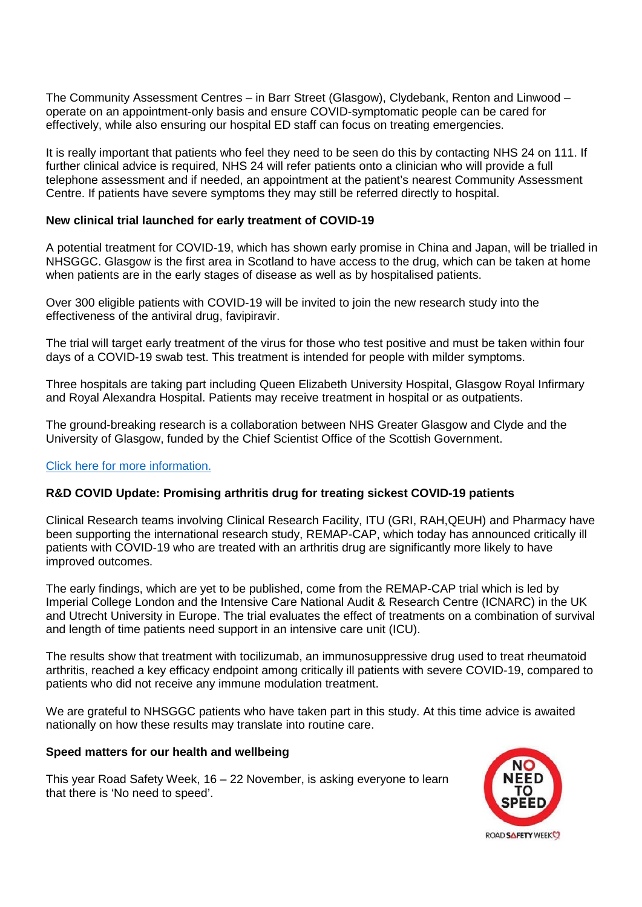The Community Assessment Centres – in Barr Street (Glasgow), Clydebank, Renton and Linwood – operate on an appointment-only basis and ensure COVID-symptomatic people can be cared for effectively, while also ensuring our hospital ED staff can focus on treating emergencies.

It is really important that patients who feel they need to be seen do this by contacting NHS 24 on 111. If further clinical advice is required, NHS 24 will refer patients onto a clinician who will provide a full telephone assessment and if needed, an appointment at the patient's nearest Community Assessment Centre. If patients have severe symptoms they may still be referred directly to hospital.

### **New clinical trial launched for early treatment of COVID-19**

A potential treatment for COVID-19, which has shown early promise in China and Japan, will be trialled in NHSGGC. Glasgow is the first area in Scotland to have access to the drug, which can be taken at home when patients are in the early stages of disease as well as by hospitalised patients.

Over 300 eligible patients with COVID-19 will be invited to join the new research study into the effectiveness of the antiviral drug, favipiravir.

The trial will target early treatment of the virus for those who test positive and must be taken within four days of a COVID-19 swab test. This treatment is intended for people with milder symptoms.

Three hospitals are taking part including Queen Elizabeth University Hospital, Glasgow Royal Infirmary and Royal Alexandra Hospital. Patients may receive treatment in hospital or as outpatients.

The ground-breaking research is a collaboration between NHS Greater Glasgow and Clyde and the University of Glasgow, funded by the Chief Scientist Office of the Scottish Government.

#### [Click here for more information.](https://www.nhsggc.org.uk/about-us/media-centre/news/2020/11/new-clinical-trial-launched-for-early-treatment-of-covid-19-by-nhs-greater-glasgow-and-clyde-and-university-of-glasgow/)

### **R&D COVID Update: Promising arthritis drug for treating sickest COVID-19 patients**

Clinical Research teams involving Clinical Research Facility, ITU (GRI, RAH,QEUH) and Pharmacy have been supporting the international research study, REMAP-CAP, which today has announced critically ill patients with COVID-19 who are treated with an arthritis drug are significantly more likely to have improved outcomes.

The early findings, which are yet to be published, come from the REMAP-CAP trial which is led by Imperial College London and the Intensive Care National Audit & Research Centre (ICNARC) in the UK and Utrecht University in Europe. The trial evaluates the effect of treatments on a combination of survival and length of time patients need support in an intensive care unit (ICU).

The results show that treatment with tocilizumab, an immunosuppressive drug used to treat rheumatoid arthritis, reached a key efficacy endpoint among critically ill patients with severe COVID-19, compared to patients who did not receive any immune modulation treatment.

We are grateful to NHSGGC patients who have taken part in this study. At this time advice is awaited nationally on how these results may translate into routine care.

#### **Speed matters for our health and wellbeing**

This year Road Safety Week, 16 – 22 November, is asking everyone to learn that there is 'No need to speed'.